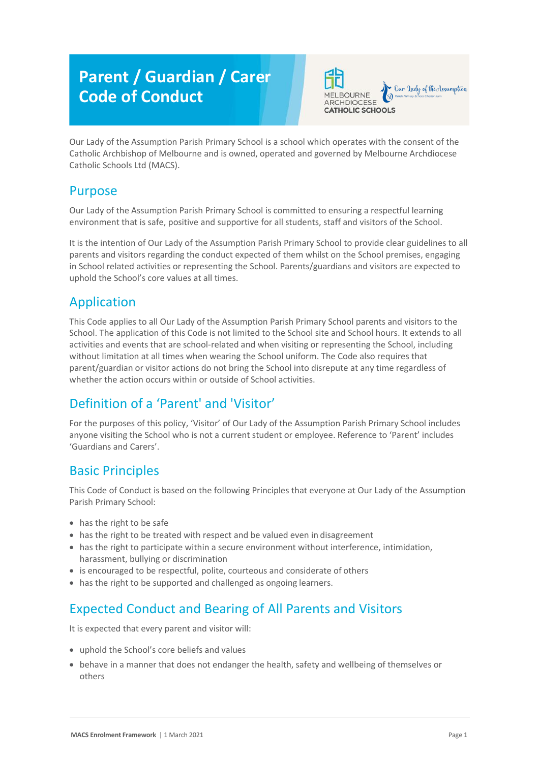# **Parent / Guardian / Carer Code of Conduct**



Our Lady of the Assumption Parish Primary School is a school which operates with the consent of the Catholic Archbishop of Melbourne and is owned, operated and governed by Melbourne Archdiocese Catholic Schools Ltd (MACS).

#### Purpose

Our Lady of the Assumption Parish Primary School is committed to ensuring a respectful learning environment that is safe, positive and supportive for all students, staff and visitors of the School.

It is the intention of Our Lady of the Assumption Parish Primary School to provide clear guidelines to all parents and visitors regarding the conduct expected of them whilst on the School premises, engaging in School related activities or representing the School. Parents/guardians and visitors are expected to uphold the School's core values at all times.

## Application

This Code applies to all Our Lady of the Assumption Parish Primary School parents and visitors to the School. The application of this Code is not limited to the School site and School hours. It extends to all activities and events that are school-related and when visiting or representing the School, including without limitation at all times when wearing the School uniform. The Code also requires that parent/guardian or visitor actions do not bring the School into disrepute at any time regardless of whether the action occurs within or outside of School activities.

# Definition of a 'Parent' and 'Visitor'

For the purposes of this policy, 'Visitor' of Our Lady of the Assumption Parish Primary School includes anyone visiting the School who is not a current student or employee. Reference to 'Parent' includes 'Guardians and Carers'.

#### Basic Principles

This Code of Conduct is based on the following Principles that everyone at Our Lady of the Assumption Parish Primary School:

- has the right to be safe
- has the right to be treated with respect and be valued even in disagreement
- has the right to participate within a secure environment without interference, intimidation, harassment, bullying or discrimination
- is encouraged to be respectful, polite, courteous and considerate of others
- has the right to be supported and challenged as ongoing learners.

# Expected Conduct and Bearing of All Parents and Visitors

It is expected that every parent and visitor will:

- uphold the School's core beliefs and values
- behave in a manner that does not endanger the health, safety and wellbeing of themselves or others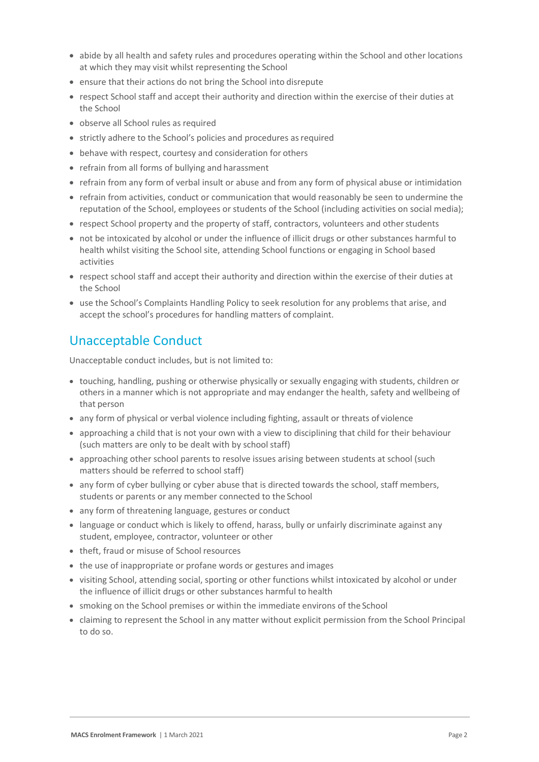- abide by all health and safety rules and procedures operating within the School and other locations at which they may visit whilst representing the School
- ensure that their actions do not bring the School into disrepute
- respect School staff and accept their authority and direction within the exercise of their duties at the School
- observe all School rules as required
- strictly adhere to the School's policies and procedures as required
- behave with respect, courtesy and consideration for others
- refrain from all forms of bullying and harassment
- refrain from any form of verbal insult or abuse and from any form of physical abuse or intimidation
- refrain from activities, conduct or communication that would reasonably be seen to undermine the reputation of the School, employees or students of the School (including activities on social media);
- respect School property and the property of staff, contractors, volunteers and other students
- not be intoxicated by alcohol or under the influence of illicit drugs or other substances harmful to health whilst visiting the School site, attending School functions or engaging in School based activities
- respect school staff and accept their authority and direction within the exercise of their duties at the School
- use the School's Complaints Handling Policy to seek resolution for any problems that arise, and accept the school's procedures for handling matters of complaint.

## Unacceptable Conduct

Unacceptable conduct includes, but is not limited to:

- touching, handling, pushing or otherwise physically or sexually engaging with students, children or others in a manner which is not appropriate and may endanger the health, safety and wellbeing of that person
- any form of physical or verbal violence including fighting, assault or threats of violence
- approaching a child that is not your own with a view to disciplining that child for their behaviour (such matters are only to be dealt with by school staff)
- approaching other school parents to resolve issues arising between students at school (such matters should be referred to school staff)
- any form of cyber bullying or cyber abuse that is directed towards the school, staff members, students or parents or any member connected to the School
- any form of threatening language, gestures or conduct
- language or conduct which is likely to offend, harass, bully or unfairly discriminate against any student, employee, contractor, volunteer or other
- theft, fraud or misuse of School resources
- the use of inappropriate or profane words or gestures and images
- visiting School, attending social, sporting or other functions whilst intoxicated by alcohol or under the influence of illicit drugs or other substances harmful to health
- smoking on the School premises or within the immediate environs of the School
- claiming to represent the School in any matter without explicit permission from the School Principal to do so.